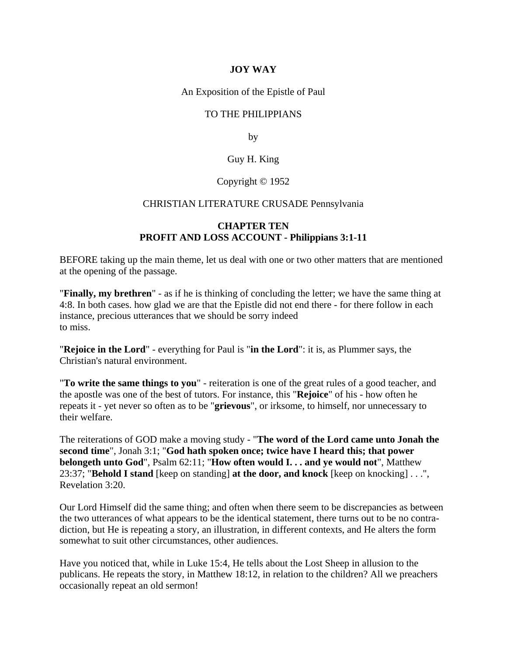## **JOY WAY**

An Exposition of the Epistle of Paul

## TO THE PHILIPPIANS

by

## Guy H. King

#### Copyright © 1952

#### CHRISTIAN LITERATURE CRUSADE Pennsylvania

### **CHAPTER TEN PROFIT AND LOSS ACCOUNT - Philippians 3:1-11**

BEFORE taking up the main theme, let us deal with one or two other matters that are mentioned at the opening of the passage.

"**Finally, my brethren**" - as if he is thinking of concluding the letter; we have the same thing at 4:8. In both cases. how glad we are that the Epistle did not end there - for there follow in each instance, precious utterances that we should be sorry indeed to miss.

"**Rejoice in the Lord**" - everything for Paul is "**in the Lord**": it is, as Plummer says, the Christian's natural environment.

"**To write the same things to you**" - reiteration is one of the great rules of a good teacher, and the apostle was one of the best of tutors. For instance, this "**Rejoice**" of his - how often he repeats it - yet never so often as to be "**grievous**", or irksome, to himself, nor unnecessary to their welfare.

The reiterations of GOD make a moving study - "**The word of the Lord came unto Jonah the second time**", Jonah 3:1; "**God hath spoken once; twice have I heard this; that power belongeth unto God**", Psalm 62:11; "**How often would I. . . and ye would not**", Matthew 23:37; "**Behold I stand** [keep on standing] **at the door, and knock** [keep on knocking] . . .", Revelation 3:20.

Our Lord Himself did the same thing; and often when there seem to be discrepancies as between the two utterances of what appears to be the identical statement, there turns out to be no contradiction, but He is repeating a story, an illustration, in different contexts, and He alters the form somewhat to suit other circumstances, other audiences.

Have you noticed that, while in Luke 15:4, He tells about the Lost Sheep in allusion to the publicans. He repeats the story, in Matthew 18:12, in relation to the children? All we preachers occasionally repeat an old sermon!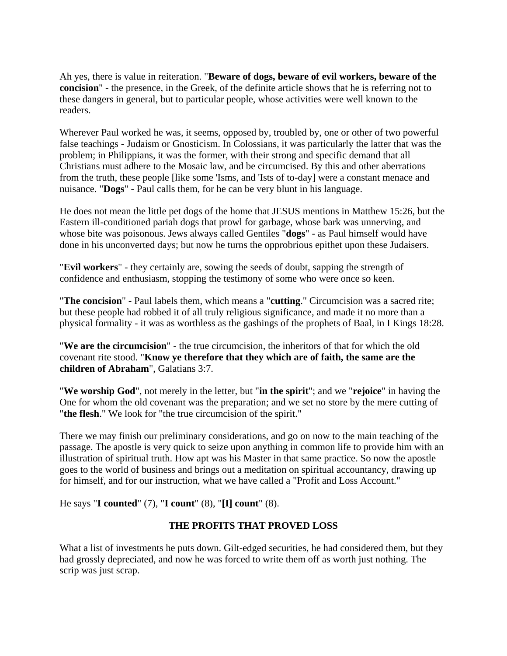Ah yes, there is value in reiteration. "**Beware of dogs, beware of evil workers, beware of the concision**" - the presence, in the Greek, of the definite article shows that he is referring not to these dangers in general, but to particular people, whose activities were well known to the readers.

Wherever Paul worked he was, it seems, opposed by, troubled by, one or other of two powerful false teachings - Judaism or Gnosticism. In Colossians, it was particularly the latter that was the problem; in Philippians, it was the former, with their strong and specific demand that all Christians must adhere to the Mosaic law, and be circumcised. By this and other aberrations from the truth, these people [like some 'Isms, and 'Ists of to-day] were a constant menace and nuisance. "**Dogs**" - Paul calls them, for he can be very blunt in his language.

He does not mean the little pet dogs of the home that JESUS mentions in Matthew 15:26, but the Eastern ill-conditioned pariah dogs that prowl for garbage, whose bark was unnerving, and whose bite was poisonous. Jews always called Gentiles "**dogs**" - as Paul himself would have done in his unconverted days; but now he turns the opprobrious epithet upon these Judaisers.

"**Evil workers**" - they certainly are, sowing the seeds of doubt, sapping the strength of confidence and enthusiasm, stopping the testimony of some who were once so keen.

"**The concision**" - Paul labels them, which means a "**cutting**." Circumcision was a sacred rite; but these people had robbed it of all truly religious significance, and made it no more than a physical formality - it was as worthless as the gashings of the prophets of Baal, in I Kings 18:28.

"**We are the circumcision**" - the true circumcision, the inheritors of that for which the old covenant rite stood. "**Know ye therefore that they which are of faith, the same are the children of Abraham**", Galatians 3:7.

"**We worship God**", not merely in the letter, but "**in the spirit**"; and we "**rejoice**" in having the One for whom the old covenant was the preparation; and we set no store by the mere cutting of "**the flesh**." We look for "the true circumcision of the spirit."

There we may finish our preliminary considerations, and go on now to the main teaching of the passage. The apostle is very quick to seize upon anything in common life to provide him with an illustration of spiritual truth. How apt was his Master in that same practice. So now the apostle goes to the world of business and brings out a meditation on spiritual accountancy, drawing up for himself, and for our instruction, what we have called a "Profit and Loss Account."

He says "**I counted**" (7), "**I count**" (8), "**[I] count**" (8).

# **THE PROFITS THAT PROVED LOSS**

What a list of investments he puts down. Gilt-edged securities, he had considered them, but they had grossly depreciated, and now he was forced to write them off as worth just nothing. The scrip was just scrap.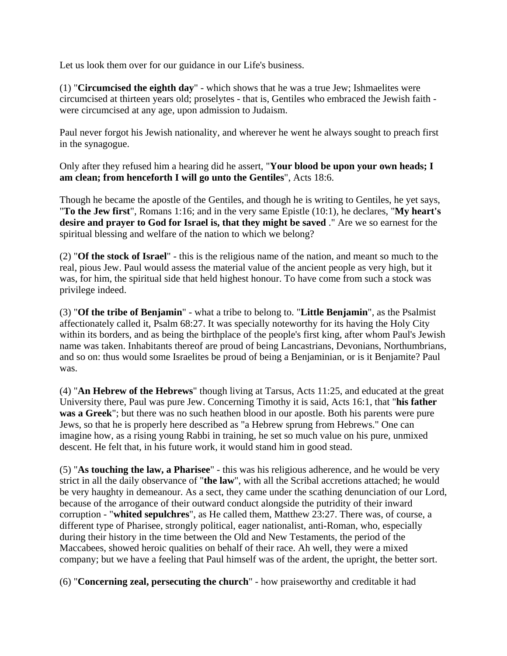Let us look them over for our guidance in our Life's business.

(1) "**Circumcised the eighth day**" - which shows that he was a true Jew; Ishmaelites were circumcised at thirteen years old; proselytes - that is, Gentiles who embraced the Jewish faith were circumcised at any age, upon admission to Judaism.

Paul never forgot his Jewish nationality, and wherever he went he always sought to preach first in the synagogue.

Only after they refused him a hearing did he assert, "**Your blood be upon your own heads; I am clean; from henceforth I will go unto the Gentiles**", Acts 18:6.

Though he became the apostle of the Gentiles, and though he is writing to Gentiles, he yet says, "**To the Jew first**", Romans 1:16; and in the very same Epistle (10:1), he declares, "**My heart's desire and prayer to God for Israel is, that they might be saved** ." Are we so earnest for the spiritual blessing and welfare of the nation to which we belong?

(2) "**Of the stock of Israel**" - this is the religious name of the nation, and meant so much to the real, pious Jew. Paul would assess the material value of the ancient people as very high, but it was, for him, the spiritual side that held highest honour. To have come from such a stock was privilege indeed.

(3) "**Of the tribe of Benjamin**" - what a tribe to belong to. "**Little Benjamin**", as the Psalmist affectionately called it, Psalm 68:27. It was specially noteworthy for its having the Holy City within its borders, and as being the birthplace of the people's first king, after whom Paul's Jewish name was taken. Inhabitants thereof are proud of being Lancastrians, Devonians, Northumbrians, and so on: thus would some Israelites be proud of being a Benjaminian, or is it Benjamite? Paul was.

(4) "**An Hebrew of the Hebrews**" though living at Tarsus, Acts 11:25, and educated at the great University there, Paul was pure Jew. Concerning Timothy it is said, Acts 16:1, that "**his father was a Greek**"; but there was no such heathen blood in our apostle. Both his parents were pure Jews, so that he is properly here described as "a Hebrew sprung from Hebrews." One can imagine how, as a rising young Rabbi in training, he set so much value on his pure, unmixed descent. He felt that, in his future work, it would stand him in good stead.

(5) "**As touching the law, a Pharisee**" - this was his religious adherence, and he would be very strict in all the daily observance of "**the law**", with all the Scribal accretions attached; he would be very haughty in demeanour. As a sect, they came under the scathing denunciation of our Lord, because of the arrogance of their outward conduct alongside the putridity of their inward corruption - "**whited sepulchres**", as He called them, Matthew 23:27. There was, of course, a different type of Pharisee, strongly political, eager nationalist, anti-Roman, who, especially during their history in the time between the Old and New Testaments, the period of the Maccabees, showed heroic qualities on behalf of their race. Ah well, they were a mixed company; but we have a feeling that Paul himself was of the ardent, the upright, the better sort.

(6) "**Concerning zeal, persecuting the church**" - how praiseworthy and creditable it had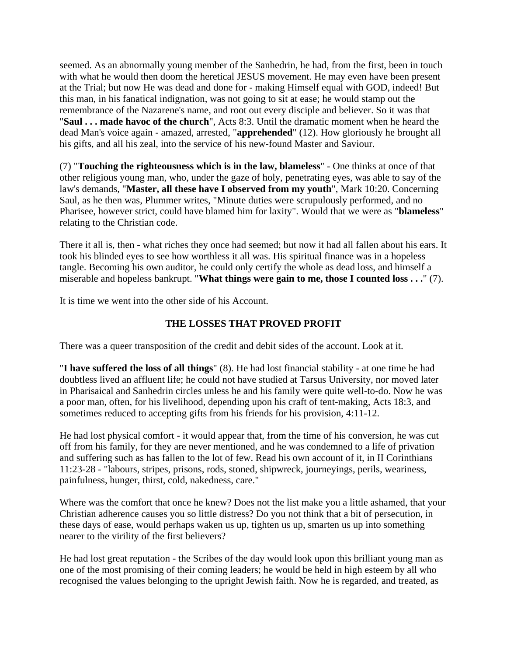seemed. As an abnormally young member of the Sanhedrin, he had, from the first, been in touch with what he would then doom the heretical JESUS movement. He may even have been present at the Trial; but now He was dead and done for - making Himself equal with GOD, indeed! But this man, in his fanatical indignation, was not going to sit at ease; he would stamp out the remembrance of the Nazarene's name, and root out every disciple and believer. So it was that "**Saul . . . made havoc of the church**", Acts 8:3. Until the dramatic moment when he heard the dead Man's voice again - amazed, arrested, "**apprehended**" (12). How gloriously he brought all his gifts, and all his zeal, into the service of his new-found Master and Saviour.

(7) "**Touching the righteousness which is in the law, blameless**" - One thinks at once of that other religious young man, who, under the gaze of holy, penetrating eyes, was able to say of the law's demands, "**Master, all these have I observed from my youth**", Mark 10:20. Concerning Saul, as he then was, Plummer writes, "Minute duties were scrupulously performed, and no Pharisee, however strict, could have blamed him for laxity". Would that we were as "**blameless**" relating to the Christian code.

There it all is, then - what riches they once had seemed; but now it had all fallen about his ears. It took his blinded eyes to see how worthless it all was. His spiritual finance was in a hopeless tangle. Becoming his own auditor, he could only certify the whole as dead loss, and himself a miserable and hopeless bankrupt. "**What things were gain to me, those I counted loss . . .**" (7).

It is time we went into the other side of his Account.

# **THE LOSSES THAT PROVED PROFIT**

There was a queer transposition of the credit and debit sides of the account. Look at it.

"**I have suffered the loss of all things**" (8). He had lost financial stability - at one time he had doubtless lived an affluent life; he could not have studied at Tarsus University, nor moved later in Pharisaical and Sanhedrin circles unless he and his family were quite well-to-do. Now he was a poor man, often, for his livelihood, depending upon his craft of tent-making, Acts 18:3, and sometimes reduced to accepting gifts from his friends for his provision, 4:11-12.

He had lost physical comfort - it would appear that, from the time of his conversion, he was cut off from his family, for they are never mentioned, and he was condemned to a life of privation and suffering such as has fallen to the lot of few. Read his own account of it, in II Corinthians 11:23-28 - "labours, stripes, prisons, rods, stoned, shipwreck, journeyings, perils, weariness, painfulness, hunger, thirst, cold, nakedness, care."

Where was the comfort that once he knew? Does not the list make you a little ashamed, that your Christian adherence causes you so little distress? Do you not think that a bit of persecution, in these days of ease, would perhaps waken us up, tighten us up, smarten us up into something nearer to the virility of the first believers?

He had lost great reputation - the Scribes of the day would look upon this brilliant young man as one of the most promising of their coming leaders; he would be held in high esteem by all who recognised the values belonging to the upright Jewish faith. Now he is regarded, and treated, as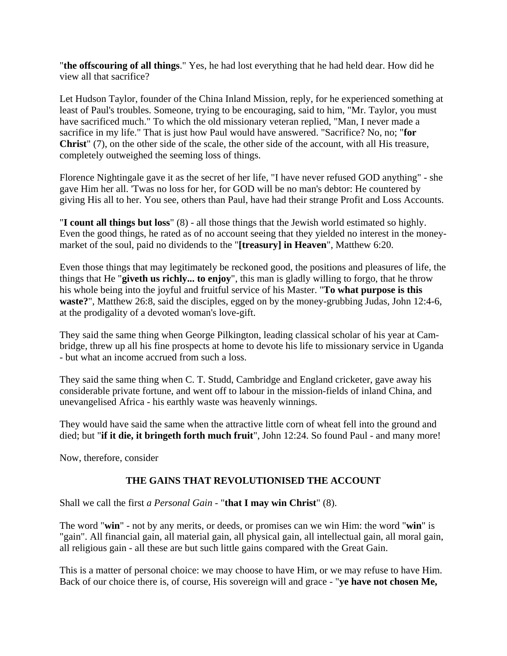"**the offscouring of all things**." Yes, he had lost everything that he had held dear. How did he view all that sacrifice?

Let Hudson Taylor, founder of the China Inland Mission, reply, for he experienced something at least of Paul's troubles. Someone, trying to be encouraging, said to him, "Mr. Taylor, you must have sacrificed much." To which the old missionary veteran replied, "Man, I never made a sacrifice in my life." That is just how Paul would have answered. "Sacrifice? No, no; "**for Christ**" (7), on the other side of the scale, the other side of the account, with all His treasure, completely outweighed the seeming loss of things.

Florence Nightingale gave it as the secret of her life, "I have never refused GOD anything" - she gave Him her all. 'Twas no loss for her, for GOD will be no man's debtor: He countered by giving His all to her. You see, others than Paul, have had their strange Profit and Loss Accounts.

"**I count all things but loss**" (8) - all those things that the Jewish world estimated so highly. Even the good things, he rated as of no account seeing that they yielded no interest in the moneymarket of the soul, paid no dividends to the "**[treasury] in Heaven**", Matthew 6:20.

Even those things that may legitimately be reckoned good, the positions and pleasures of life, the things that He "**giveth us richly... to enjoy**", this man is gladly willing to forgo, that he throw his whole being into the joyful and fruitful service of his Master. "**To what purpose is this waste?**", Matthew 26:8, said the disciples, egged on by the money-grubbing Judas, John 12:4-6, at the prodigality of a devoted woman's love-gift.

They said the same thing when George Pilkington, leading classical scholar of his year at Cambridge, threw up all his fine prospects at home to devote his life to missionary service in Uganda - but what an income accrued from such a loss.

They said the same thing when C. T. Studd, Cambridge and England cricketer, gave away his considerable private fortune, and went off to labour in the mission-fields of inland China, and unevangelised Africa - his earthly waste was heavenly winnings.

They would have said the same when the attractive little corn of wheat fell into the ground and died; but "**if it die, it bringeth forth much fruit**", John 12:24. So found Paul - and many more!

Now, therefore, consider

# **THE GAINS THAT REVOLUTIONISED THE ACCOUNT**

Shall we call the first *a Personal Gain* - "**that I may win Christ**" (8).

The word "**win**" - not by any merits, or deeds, or promises can we win Him: the word "**win**" is "gain". All financial gain, all material gain, all physical gain, all intellectual gain, all moral gain, all religious gain - all these are but such little gains compared with the Great Gain.

This is a matter of personal choice: we may choose to have Him, or we may refuse to have Him. Back of our choice there is, of course, His sovereign will and grace - "**ye have not chosen Me,**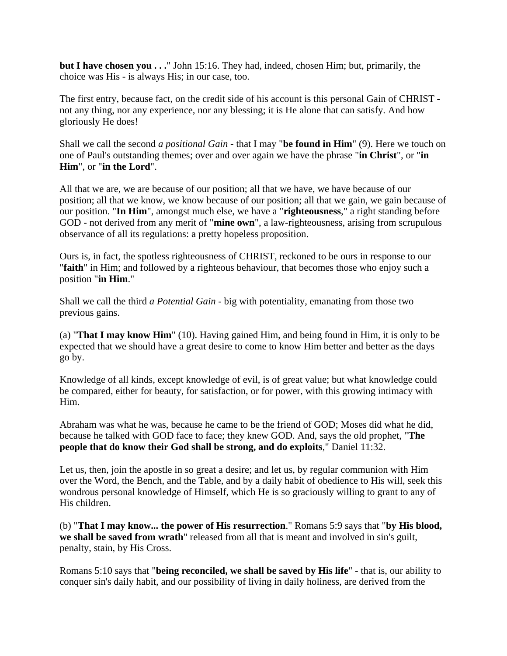**but I have chosen you . . .**" John 15:16. They had, indeed, chosen Him; but, primarily, the choice was His - is always His; in our case, too.

The first entry, because fact, on the credit side of his account is this personal Gain of CHRIST not any thing, nor any experience, nor any blessing; it is He alone that can satisfy. And how gloriously He does!

Shall we call the second *a positional Gain* - that I may "**be found in Him**" (9). Here we touch on one of Paul's outstanding themes; over and over again we have the phrase "**in Christ**", or "**in Him**", or "**in the Lord**".

All that we are, we are because of our position; all that we have, we have because of our position; all that we know, we know because of our position; all that we gain, we gain because of our position. "**In Him**", amongst much else, we have a "**righteousness**," a right standing before GOD - not derived from any merit of "**mine own**", a law-righteousness, arising from scrupulous observance of all its regulations: a pretty hopeless proposition.

Ours is, in fact, the spotless righteousness of CHRIST, reckoned to be ours in response to our "**faith**" in Him; and followed by a righteous behaviour, that becomes those who enjoy such a position "**in Him**."

Shall we call the third *a Potential Gain* - big with potentiality, emanating from those two previous gains.

(a) "**That I may know Him**" (10). Having gained Him, and being found in Him, it is only to be expected that we should have a great desire to come to know Him better and better as the days go by.

Knowledge of all kinds, except knowledge of evil, is of great value; but what knowledge could be compared, either for beauty, for satisfaction, or for power, with this growing intimacy with Him.

Abraham was what he was, because he came to be the friend of GOD; Moses did what he did, because he talked with GOD face to face; they knew GOD. And, says the old prophet, "**The people that do know their God shall be strong, and do exploits**," Daniel 11:32.

Let us, then, join the apostle in so great a desire; and let us, by regular communion with Him over the Word, the Bench, and the Table, and by a daily habit of obedience to His will, seek this wondrous personal knowledge of Himself, which He is so graciously willing to grant to any of His children.

(b) "**That I may know... the power of His resurrection**." Romans 5:9 says that "**by His blood, we shall be saved from wrath**" released from all that is meant and involved in sin's guilt, penalty, stain, by His Cross.

Romans 5:10 says that "**being reconciled, we shall be saved by His life**" - that is, our ability to conquer sin's daily habit, and our possibility of living in daily holiness, are derived from the